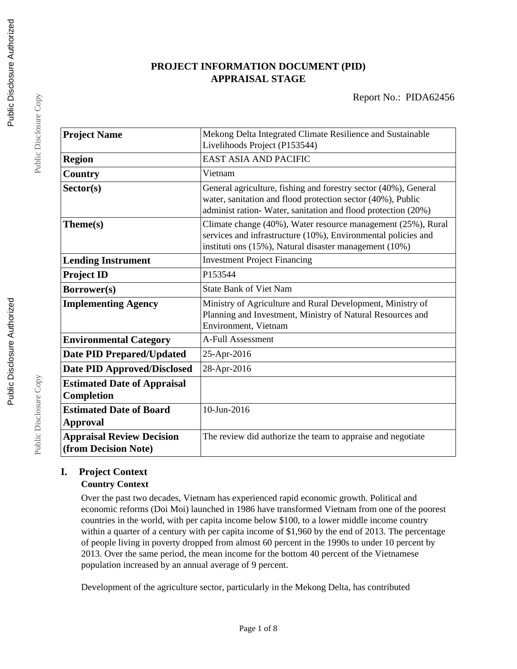# **PROJECT INFORMATION DOCUMENT (PID) APPRAISAL STAGE**

| <b>Project Name</b>                | Mekong Delta Integrated Climate Resilience and Sustainable                                                                                                                                     |
|------------------------------------|------------------------------------------------------------------------------------------------------------------------------------------------------------------------------------------------|
|                                    | Livelihoods Project (P153544)                                                                                                                                                                  |
| <b>Region</b>                      | <b>EAST ASIA AND PACIFIC</b>                                                                                                                                                                   |
| <b>Country</b>                     | Vietnam                                                                                                                                                                                        |
| Sector(s)                          | General agriculture, fishing and forestry sector (40%), General<br>water, sanitation and flood protection sector (40%), Public<br>administ ration-Water, sanitation and flood protection (20%) |
| Theme(s)                           | Climate change (40%), Water resource management (25%), Rural<br>services and infrastructure (10%), Environmental policies and<br>instituti ons (15%), Natural disaster management (10%)        |
| <b>Lending Instrument</b>          | <b>Investment Project Financing</b>                                                                                                                                                            |
| <b>Project ID</b>                  | P153544                                                                                                                                                                                        |
| Borrower(s)                        | <b>State Bank of Viet Nam</b>                                                                                                                                                                  |
| <b>Implementing Agency</b>         | Ministry of Agriculture and Rural Development, Ministry of<br>Planning and Investment, Ministry of Natural Resources and<br>Environment, Vietnam                                               |
| <b>Environmental Category</b>      | <b>A-Full Assessment</b>                                                                                                                                                                       |
| <b>Date PID Prepared/Updated</b>   | 25-Apr-2016                                                                                                                                                                                    |
| <b>Date PID Approved/Disclosed</b> | 28-Apr-2016                                                                                                                                                                                    |
| <b>Estimated Date of Appraisal</b> |                                                                                                                                                                                                |
| Completion                         |                                                                                                                                                                                                |
| <b>Estimated Date of Board</b>     | 10-Jun-2016                                                                                                                                                                                    |
| <b>Approval</b>                    |                                                                                                                                                                                                |
| <b>Appraisal Review Decision</b>   | The review did authorize the team to appraise and negotiate                                                                                                                                    |
| (from Decision Note)               |                                                                                                                                                                                                |

## **I. Project Context Country Context**

Over the past two decades, Vietnam has experienced rapid economic growth. Political and economic reforms (Doi Moi) launched in 1986 have transformed Vietnam from one of the poorest countries in the world, with per capita income below \$100, to a lower middle income country within a quarter of a century with per capita income of \$1,960 by the end of 2013. The percentage of people living in poverty dropped from almost 60 percent in the 1990s to under 10 percent by 2013. Over the same period, the mean income for the bottom 40 percent of the Vietnamese population increased by an annual average of 9 percent.

Development of the agriculture sector, particularly in the Mekong Delta, has contributed

Public Disclosure Copy

Public Disclosure Copy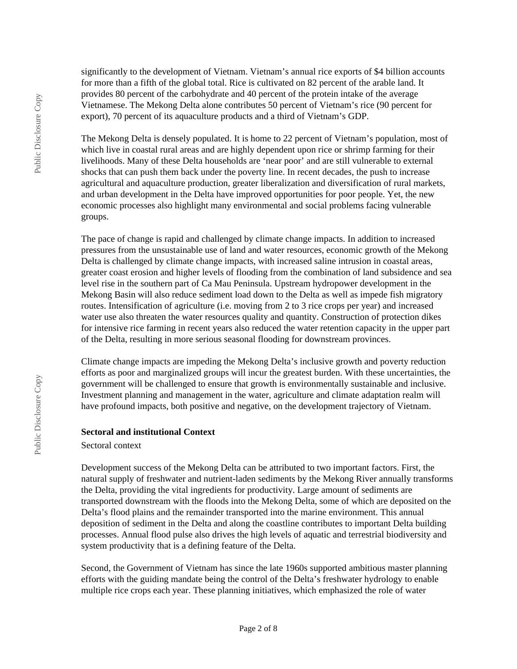significantly to the development of Vietnam. Vietnam's annual rice exports of \$4 billion accounts for more than a fifth of the global total. Rice is cultivated on 82 percent of the arable land. It provides 80 percent of the carbohydrate and 40 percent of the protein intake of the average Vietnamese. The Mekong Delta alone contributes 50 percent of Vietnam's rice (90 percent for export), 70 percent of its aquaculture products and a third of Vietnam's GDP.

The Mekong Delta is densely populated. It is home to 22 percent of Vietnam's population, most of which live in coastal rural areas and are highly dependent upon rice or shrimp farming for their livelihoods. Many of these Delta households are 'near poor' and are still vulnerable to external shocks that can push them back under the poverty line. In recent decades, the push to increase agricultural and aquaculture production, greater liberalization and diversification of rural markets, and urban development in the Delta have improved opportunities for poor people. Yet, the new economic processes also highlight many environmental and social problems facing vulnerable groups.

The pace of change is rapid and challenged by climate change impacts. In addition to increased pressures from the unsustainable use of land and water resources, economic growth of the Mekong Delta is challenged by climate change impacts, with increased saline intrusion in coastal areas, greater coast erosion and higher levels of flooding from the combination of land subsidence and sea level rise in the southern part of Ca Mau Peninsula. Upstream hydropower development in the Mekong Basin will also reduce sediment load down to the Delta as well as impede fish migratory routes. Intensification of agriculture (i.e. moving from 2 to 3 rice crops per year) and increased water use also threaten the water resources quality and quantity. Construction of protection dikes for intensive rice farming in recent years also reduced the water retention capacity in the upper part of the Delta, resulting in more serious seasonal flooding for downstream provinces.

Climate change impacts are impeding the Mekong Delta's inclusive growth and poverty reduction efforts as poor and marginalized groups will incur the greatest burden. With these uncertainties, the government will be challenged to ensure that growth is environmentally sustainable and inclusive. Investment planning and management in the water, agriculture and climate adaptation realm will have profound impacts, both positive and negative, on the development trajectory of Vietnam.

#### **Sectoral and institutional Context**

#### Sectoral context

Development success of the Mekong Delta can be attributed to two important factors. First, the natural supply of freshwater and nutrient-laden sediments by the Mekong River annually transforms the Delta, providing the vital ingredients for productivity. Large amount of sediments are transported downstream with the floods into the Mekong Delta, some of which are deposited on the Delta's flood plains and the remainder transported into the marine environment. This annual deposition of sediment in the Delta and along the coastline contributes to important Delta building processes. Annual flood pulse also drives the high levels of aquatic and terrestrial biodiversity and system productivity that is a defining feature of the Delta.

Second, the Government of Vietnam has since the late 1960s supported ambitious master planning efforts with the guiding mandate being the control of the Delta's freshwater hydrology to enable multiple rice crops each year. These planning initiatives, which emphasized the role of water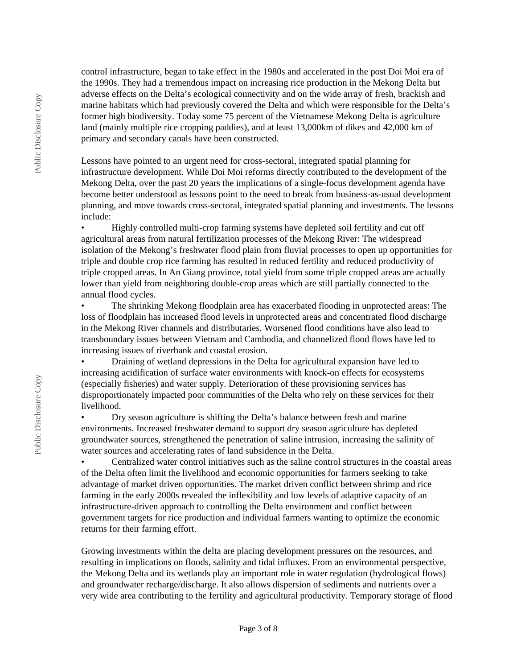control infrastructure, began to take effect in the 1980s and accelerated in the post Doi Moi era of the 1990s. They had a tremendous impact on increasing rice production in the Mekong Delta but adverse effects on the Delta's ecological connectivity and on the wide array of fresh, brackish and marine habitats which had previously covered the Delta and which were responsible for the Delta's former high biodiversity. Today some 75 percent of the Vietnamese Mekong Delta is agriculture land (mainly multiple rice cropping paddies), and at least 13,000km of dikes and 42,000 km of primary and secondary canals have been constructed.

Lessons have pointed to an urgent need for cross-sectoral, integrated spatial planning for infrastructure development. While Doi Moi reforms directly contributed to the development of the Mekong Delta, over the past 20 years the implications of a single-focus development agenda have become better understood as lessons point to the need to break from business-as-usual development planning, and move towards cross-sectoral, integrated spatial planning and investments. The lessons include:

• Highly controlled multi-crop farming systems have depleted soil fertility and cut off agricultural areas from natural fertilization processes of the Mekong River: The widespread isolation of the Mekong's freshwater flood plain from fluvial processes to open up opportunities for triple and double crop rice farming has resulted in reduced fertility and reduced productivity of triple cropped areas. In An Giang province, total yield from some triple cropped areas are actually lower than yield from neighboring double-crop areas which are still partially connected to the annual flood cycles.

• The shrinking Mekong floodplain area has exacerbated flooding in unprotected areas: The loss of floodplain has increased flood levels in unprotected areas and concentrated flood discharge in the Mekong River channels and distributaries. Worsened flood conditions have also lead to transboundary issues between Vietnam and Cambodia, and channelized flood flows have led to increasing issues of riverbank and coastal erosion.

• Draining of wetland depressions in the Delta for agricultural expansion have led to increasing acidification of surface water environments with knock-on effects for ecosystems (especially fisheries) and water supply. Deterioration of these provisioning services has disproportionately impacted poor communities of the Delta who rely on these services for their livelihood.

• Dry season agriculture is shifting the Delta's balance between fresh and marine environments. Increased freshwater demand to support dry season agriculture has depleted groundwater sources, strengthened the penetration of saline intrusion, increasing the salinity of water sources and accelerating rates of land subsidence in the Delta.

• Centralized water control initiatives such as the saline control structures in the coastal areas of the Delta often limit the livelihood and economic opportunities for farmers seeking to take advantage of market driven opportunities. The market driven conflict between shrimp and rice farming in the early 2000s revealed the inflexibility and low levels of adaptive capacity of an infrastructure-driven approach to controlling the Delta environment and conflict between government targets for rice production and individual farmers wanting to optimize the economic returns for their farming effort.

Growing investments within the delta are placing development pressures on the resources, and resulting in implications on floods, salinity and tidal influxes. From an environmental perspective, the Mekong Delta and its wetlands play an important role in water regulation (hydrological flows) and groundwater recharge/discharge. It also allows dispersion of sediments and nutrients over a very wide area contributing to the fertility and agricultural productivity. Temporary storage of flood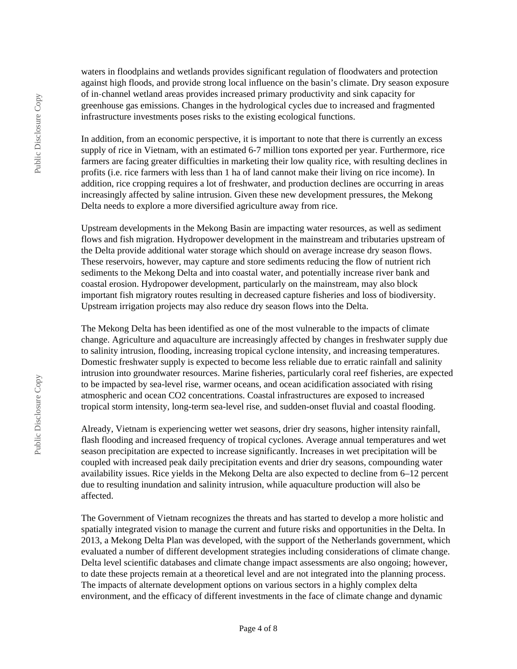waters in floodplains and wetlands provides significant regulation of floodwaters and protection against high floods, and provide strong local influence on the basin's climate. Dry season exposure of in‐channel wetland areas provides increased primary productivity and sink capacity for greenhouse gas emissions. Changes in the hydrological cycles due to increased and fragmented infrastructure investments poses risks to the existing ecological functions.

In addition, from an economic perspective, it is important to note that there is currently an excess supply of rice in Vietnam, with an estimated 6-7 million tons exported per year. Furthermore, rice farmers are facing greater difficulties in marketing their low quality rice, with resulting declines in profits (i.e. rice farmers with less than 1 ha of land cannot make their living on rice income). In addition, rice cropping requires a lot of freshwater, and production declines are occurring in areas increasingly affected by saline intrusion. Given these new development pressures, the Mekong Delta needs to explore a more diversified agriculture away from rice.

Upstream developments in the Mekong Basin are impacting water resources, as well as sediment flows and fish migration. Hydropower development in the mainstream and tributaries upstream of the Delta provide additional water storage which should on average increase dry season flows. These reservoirs, however, may capture and store sediments reducing the flow of nutrient rich sediments to the Mekong Delta and into coastal water, and potentially increase river bank and coastal erosion. Hydropower development, particularly on the mainstream, may also block important fish migratory routes resulting in decreased capture fisheries and loss of biodiversity. Upstream irrigation projects may also reduce dry season flows into the Delta.

The Mekong Delta has been identified as one of the most vulnerable to the impacts of climate change. Agriculture and aquaculture are increasingly affected by changes in freshwater supply due to salinity intrusion, flooding, increasing tropical cyclone intensity, and increasing temperatures. Domestic freshwater supply is expected to become less reliable due to erratic rainfall and salinity intrusion into groundwater resources. Marine fisheries, particularly coral reef fisheries, are expected to be impacted by sea-level rise, warmer oceans, and ocean acidification associated with rising atmospheric and ocean CO2 concentrations. Coastal infrastructures are exposed to increased tropical storm intensity, long-term sea-level rise, and sudden-onset fluvial and coastal flooding.

Already, Vietnam is experiencing wetter wet seasons, drier dry seasons, higher intensity rainfall, flash flooding and increased frequency of tropical cyclones. Average annual temperatures and wet season precipitation are expected to increase significantly. Increases in wet precipitation will be coupled with increased peak daily precipitation events and drier dry seasons, compounding water availability issues. Rice yields in the Mekong Delta are also expected to decline from 6–12 percent due to resulting inundation and salinity intrusion, while aquaculture production will also be affected.

The Government of Vietnam recognizes the threats and has started to develop a more holistic and spatially integrated vision to manage the current and future risks and opportunities in the Delta. In 2013, a Mekong Delta Plan was developed, with the support of the Netherlands government, which evaluated a number of different development strategies including considerations of climate change. Delta level scientific databases and climate change impact assessments are also ongoing; however, to date these projects remain at a theoretical level and are not integrated into the planning process. The impacts of alternate development options on various sectors in a highly complex delta environment, and the efficacy of different investments in the face of climate change and dynamic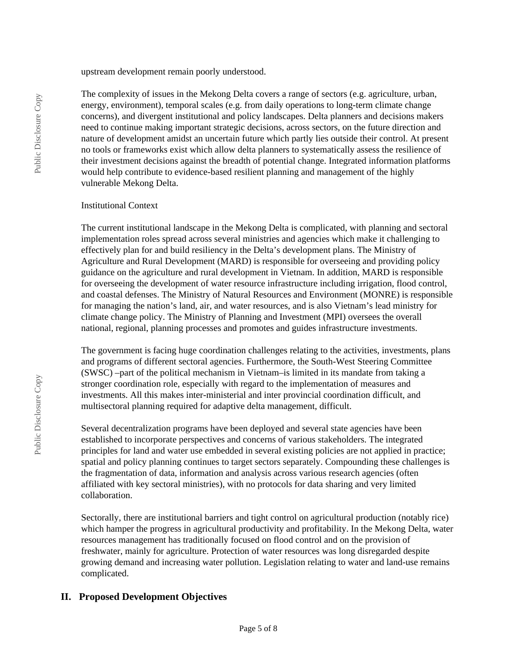upstream development remain poorly understood.

The complexity of issues in the Mekong Delta covers a range of sectors (e.g. agriculture, urban, energy, environment), temporal scales (e.g. from daily operations to long-term climate change concerns), and divergent institutional and policy landscapes. Delta planners and decisions makers need to continue making important strategic decisions, across sectors, on the future direction and nature of development amidst an uncertain future which partly lies outside their control. At present no tools or frameworks exist which allow delta planners to systematically assess the resilience of their investment decisions against the breadth of potential change. Integrated information platforms would help contribute to evidence-based resilient planning and management of the highly vulnerable Mekong Delta.

#### Institutional Context

The current institutional landscape in the Mekong Delta is complicated, with planning and sectoral implementation roles spread across several ministries and agencies which make it challenging to effectively plan for and build resiliency in the Delta's development plans. The Ministry of Agriculture and Rural Development (MARD) is responsible for overseeing and providing policy guidance on the agriculture and rural development in Vietnam. In addition, MARD is responsible for overseeing the development of water resource infrastructure including irrigation, flood control, and coastal defenses. The Ministry of Natural Resources and Environment (MONRE) is responsible for managing the nation's land, air, and water resources, and is also Vietnam's lead ministry for climate change policy. The Ministry of Planning and Investment (MPI) oversees the overall national, regional, planning processes and promotes and guides infrastructure investments.

The government is facing huge coordination challenges relating to the activities, investments, plans and programs of different sectoral agencies. Furthermore, the South-West Steering Committee (SWSC) –part of the political mechanism in Vietnam–is limited in its mandate from taking a stronger coordination role, especially with regard to the implementation of measures and investments. All this makes inter-ministerial and inter provincial coordination difficult, and multisectoral planning required for adaptive delta management, difficult.

Several decentralization programs have been deployed and several state agencies have been established to incorporate perspectives and concerns of various stakeholders. The integrated principles for land and water use embedded in several existing policies are not applied in practice; spatial and policy planning continues to target sectors separately. Compounding these challenges is the fragmentation of data, information and analysis across various research agencies (often affiliated with key sectoral ministries), with no protocols for data sharing and very limited collaboration.

Sectorally, there are institutional barriers and tight control on agricultural production (notably rice) which hamper the progress in agricultural productivity and profitability. In the Mekong Delta, water resources management has traditionally focused on flood control and on the provision of freshwater, mainly for agriculture. Protection of water resources was long disregarded despite growing demand and increasing water pollution. Legislation relating to water and land-use remains complicated.

# **II. Proposed Development Objectives**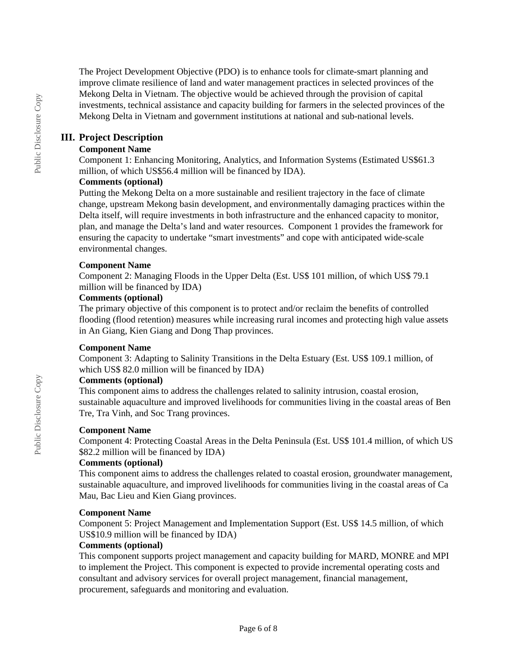The Project Development Objective (PDO) is to enhance tools for climate-smart planning and improve climate resilience of land and water management practices in selected provinces of the Mekong Delta in Vietnam. The objective would be achieved through the provision of capital investments, technical assistance and capacity building for farmers in the selected provinces of the Mekong Delta in Vietnam and government institutions at national and sub-national levels.

## **III. Project Description**

## **Component Name**

Component 1: Enhancing Monitoring, Analytics, and Information Systems (Estimated US\$61.3 million, of which US\$56.4 million will be financed by IDA).

## **Comments (optional)**

Putting the Mekong Delta on a more sustainable and resilient trajectory in the face of climate change, upstream Mekong basin development, and environmentally damaging practices within the Delta itself, will require investments in both infrastructure and the enhanced capacity to monitor, plan, and manage the Delta's land and water resources. Component 1 provides the framework for ensuring the capacity to undertake "smart investments" and cope with anticipated wide-scale environmental changes.

#### **Component Name**

Component 2: Managing Floods in the Upper Delta (Est. US\$ 101 million, of which US\$ 79.1 million will be financed by IDA)

#### **Comments (optional)**

The primary objective of this component is to protect and/or reclaim the benefits of controlled flooding (flood retention) measures while increasing rural incomes and protecting high value assets in An Giang, Kien Giang and Dong Thap provinces.

### **Component Name**

Component 3: Adapting to Salinity Transitions in the Delta Estuary (Est. US\$ 109.1 million, of which US\$ 82.0 million will be financed by IDA)

### **Comments (optional)**

This component aims to address the challenges related to salinity intrusion, coastal erosion, sustainable aquaculture and improved livelihoods for communities living in the coastal areas of Ben Tre, Tra Vinh, and Soc Trang provinces.

### **Component Name**

Component 4: Protecting Coastal Areas in the Delta Peninsula (Est. US\$ 101.4 million, of which US \$82.2 million will be financed by IDA)

### **Comments (optional)**

This component aims to address the challenges related to coastal erosion, groundwater management, sustainable aquaculture, and improved livelihoods for communities living in the coastal areas of Ca Mau, Bac Lieu and Kien Giang provinces.

#### **Component Name**

Component 5: Project Management and Implementation Support (Est. US\$ 14.5 million, of which US\$10.9 million will be financed by IDA)

### **Comments (optional)**

This component supports project management and capacity building for MARD, MONRE and MPI to implement the Project. This component is expected to provide incremental operating costs and consultant and advisory services for overall project management, financial management, procurement, safeguards and monitoring and evaluation.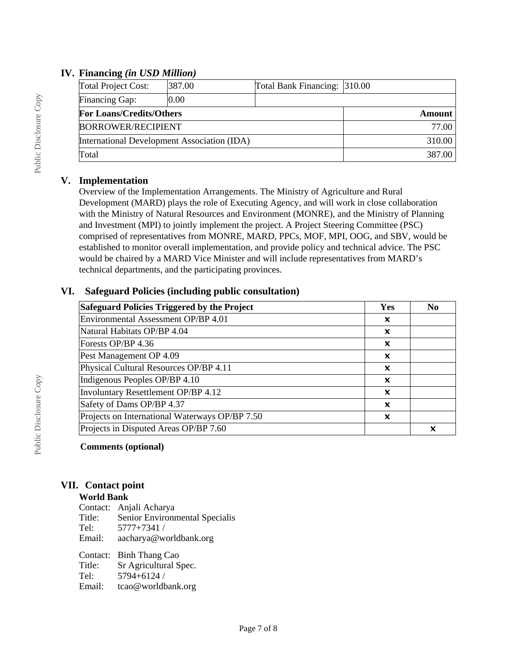## **IV. Financing** *(in USD Million)*

| Total Project Cost:                         | 387.00 | Total Bank Financing: 310.00 |  |
|---------------------------------------------|--------|------------------------------|--|
| Financing Gap:                              | 0.00   |                              |  |
| <b>For Loans/Credits/Others</b>             |        | Amount                       |  |
| <b>BORROWER/RECIPIENT</b>                   |        | 77.00                        |  |
| International Development Association (IDA) |        | 310.00                       |  |
| Total                                       |        | 387.00                       |  |

# **V. Implementation**

Overview of the Implementation Arrangements. The Ministry of Agriculture and Rural Development (MARD) plays the role of Executing Agency, and will work in close collaboration with the Ministry of Natural Resources and Environment (MONRE), and the Ministry of Planning and Investment (MPI) to jointly implement the project. A Project Steering Committee (PSC) comprised of representatives from MONRE, MARD, PPCs, MOF, MPI, OOG, and SBV, would be established to monitor overall implementation, and provide policy and technical advice. The PSC would be chaired by a MARD Vice Minister and will include representatives from MARD's technical departments, and the participating provinces.

# **VI. Safeguard Policies (including public consultation)**

| Safeguard Policies Triggered by the Project    |   | N <sub>0</sub> |
|------------------------------------------------|---|----------------|
| Environmental Assessment OP/BP 4.01            |   |                |
| Natural Habitats OP/BP 4.04                    |   |                |
| Forests OP/BP 4.36                             | X |                |
| Pest Management OP 4.09                        | X |                |
| Physical Cultural Resources OP/BP 4.11         | X |                |
| Indigenous Peoples OP/BP 4.10                  | X |                |
| Involuntary Resettlement OP/BP 4.12            | X |                |
| Safety of Dams OP/BP 4.37                      | x |                |
| Projects on International Waterways OP/BP 7.50 |   |                |
| Projects in Disputed Areas OP/BP 7.60          |   | x              |

## **Comments (optional)**

# **VII. Contact point**

## **World Bank**

Contact: Anjali Acharya Title: Senior Environmental Specialis Tel: 5777+7341 / Email: aacharya@worldbank.org

Contact: Binh Thang Cao Title: Sr Agricultural Spec. Tel: 5794+6124 / Email: tcao@worldbank.org